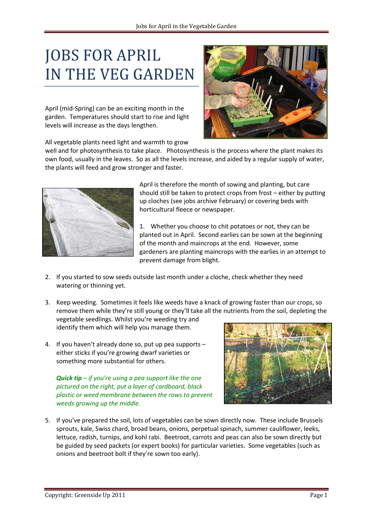## JOBS FOR APRIL IN THE VEG GARDEN

April (mid-Spring) can be an exciting month in the garden. Temperatures should start to rise and light levels will increase as the days lengthen.

All vegetable plants need light and warmth to grow

well and for photosynthesis to take place. Photosynthesis is the process where the plant makes its own food, usually in the leaves. So as all the levels increase, and aided by a regular supply of water, the plants will feed and grow stronger and faster.



April is therefore the month of sowing and planting, but care should still be taken to protect crops from frost – either by putting up cloches (see jobs archive February) or covering beds with horticultural fleece or newspaper.

1. Whether you choose to chit potatoes or not, they can be planted out in April. Second earlies can be sown at the beginning of the month and maincrops at the end. However, some gardeners are planting maincrops with the earlies in an attempt to prevent damage from blight.

- 2. If you started to sow seeds outside last month under a cloche, check whether they need watering or thinning yet.
- 3. Keep weeding. Sometimes it feels like weeds have a knack of growing faster than our crops, so remove them while they're still young or they'll take all the nutrients from the soil, depleting the vegetable seedlings. Whilst you're weeding try and

identify them which will help you manage them.

4. If you haven't already done so, put up pea supports – either sticks if you're growing dwarf varieties or something more substantial for others.

*Quick tip – if you're using a pea support like the one pictured on the right, put a layer of cardboard, black plastic or weed membrane between the rows to prevent weeds growing up the middle.*



5. If you've prepared the soil, lots of vegetables can be sown directly now. These include Brussels sprouts, kale, Swiss chard, broad beans, onions, perpetual spinach, summer cauliflower, leeks, lettuce, radish, turnips, and kohl rabi. Beetroot, carrots and peas can also be sown directly but be guided by seed packets (or expert books) for particular varieties. Some vegetables (such as onions and beetroot bolt if they're sown too early).